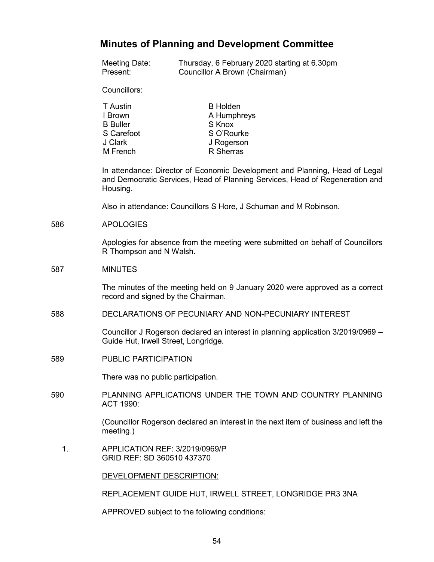# **Minutes of Planning and Development Committee**

| Meeting Date: |                               | Thursday, 6 February 2020 starting at 6.30pm |
|---------------|-------------------------------|----------------------------------------------|
| Present:      | Councillor A Brown (Chairman) |                                              |

Councillors:

| T Austin        | <b>B</b> Holden |
|-----------------|-----------------|
| I Brown         | A Humphreys     |
| <b>B</b> Buller | S Knox          |
| S Carefoot      | S O'Rourke      |
| J Clark         | J Rogerson      |
| M French        | R Sherras       |

In attendance: Director of Economic Development and Planning, Head of Legal and Democratic Services, Head of Planning Services, Head of Regeneration and Housing.

Also in attendance: Councillors S Hore, J Schuman and M Robinson.

586 APOLOGIES

Apologies for absence from the meeting were submitted on behalf of Councillors R Thompson and N Walsh.

#### 587 MINUTES

The minutes of the meeting held on 9 January 2020 were approved as a correct record and signed by the Chairman.

588 DECLARATIONS OF PECUNIARY AND NON-PECUNIARY INTEREST

Councillor J Rogerson declared an interest in planning application 3/2019/0969 – Guide Hut, Irwell Street, Longridge.

589 PUBLIC PARTICIPATION

There was no public participation.

590 PLANNING APPLICATIONS UNDER THE TOWN AND COUNTRY PLANNING ACT 1990:

> (Councillor Rogerson declared an interest in the next item of business and left the meeting.)

 1. APPLICATION REF: 3/2019/0969/P GRID REF: SD 360510 437370

DEVELOPMENT DESCRIPTION:

REPLACEMENT GUIDE HUT, IRWELL STREET, LONGRIDGE PR3 3NA

APPROVED subject to the following conditions: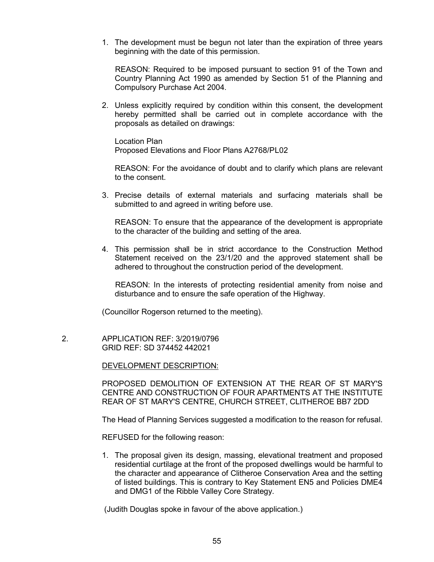1. The development must be begun not later than the expiration of three years beginning with the date of this permission.

 REASON: Required to be imposed pursuant to section 91 of the Town and Country Planning Act 1990 as amended by Section 51 of the Planning and Compulsory Purchase Act 2004.

2. Unless explicitly required by condition within this consent, the development hereby permitted shall be carried out in complete accordance with the proposals as detailed on drawings:

Location Plan Proposed Elevations and Floor Plans A2768/PL02

REASON: For the avoidance of doubt and to clarify which plans are relevant to the consent.

3. Precise details of external materials and surfacing materials shall be submitted to and agreed in writing before use.

REASON: To ensure that the appearance of the development is appropriate to the character of the building and setting of the area.

4. This permission shall be in strict accordance to the Construction Method Statement received on the 23/1/20 and the approved statement shall be adhered to throughout the construction period of the development.

 REASON: In the interests of protecting residential amenity from noise and disturbance and to ensure the safe operation of the Highway.

(Councillor Rogerson returned to the meeting).

 2. APPLICATION REF: 3/2019/0796 GRID REF: SD 374452 442021

DEVELOPMENT DESCRIPTION:

PROPOSED DEMOLITION OF EXTENSION AT THE REAR OF ST MARY'S CENTRE AND CONSTRUCTION OF FOUR APARTMENTS AT THE INSTITUTE REAR OF ST MARY'S CENTRE, CHURCH STREET, CLITHEROE BB7 2DD

The Head of Planning Services suggested a modification to the reason for refusal.

REFUSED for the following reason:

1. The proposal given its design, massing, elevational treatment and proposed residential curtilage at the front of the proposed dwellings would be harmful to the character and appearance of Clitheroe Conservation Area and the setting of listed buildings. This is contrary to Key Statement EN5 and Policies DME4 and DMG1 of the Ribble Valley Core Strategy.

(Judith Douglas spoke in favour of the above application.)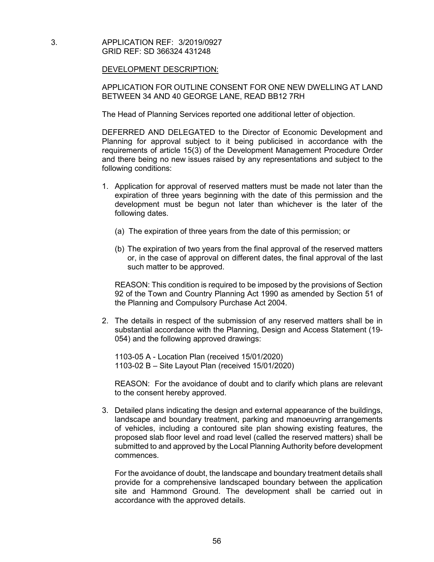3. APPLICATION REF: 3/2019/0927 GRID REF: SD 366324 431248

#### DEVELOPMENT DESCRIPTION:

## APPLICATION FOR OUTLINE CONSENT FOR ONE NEW DWELLING AT LAND BETWEEN 34 AND 40 GEORGE LANE, READ BB12 7RH

The Head of Planning Services reported one additional letter of objection.

DEFERRED AND DELEGATED to the Director of Economic Development and Planning for approval subject to it being publicised in accordance with the requirements of article 15(3) of the Development Management Procedure Order and there being no new issues raised by any representations and subject to the following conditions:

- 1. Application for approval of reserved matters must be made not later than the expiration of three years beginning with the date of this permission and the development must be begun not later than whichever is the later of the following dates.
	- (a) The expiration of three years from the date of this permission; or
	- (b) The expiration of two years from the final approval of the reserved matters or, in the case of approval on different dates, the final approval of the last such matter to be approved.

REASON: This condition is required to be imposed by the provisions of Section 92 of the Town and Country Planning Act 1990 as amended by Section 51 of the Planning and Compulsory Purchase Act 2004.

2. The details in respect of the submission of any reserved matters shall be in substantial accordance with the Planning, Design and Access Statement (19- 054) and the following approved drawings:

1103-05 A - Location Plan (received 15/01/2020) 1103-02 B – Site Layout Plan (received 15/01/2020)

REASON: For the avoidance of doubt and to clarify which plans are relevant to the consent hereby approved.

3. Detailed plans indicating the design and external appearance of the buildings, landscape and boundary treatment, parking and manoeuvring arrangements of vehicles, including a contoured site plan showing existing features, the proposed slab floor level and road level (called the reserved matters) shall be submitted to and approved by the Local Planning Authority before development commences.

For the avoidance of doubt, the landscape and boundary treatment details shall provide for a comprehensive landscaped boundary between the application site and Hammond Ground. The development shall be carried out in accordance with the approved details.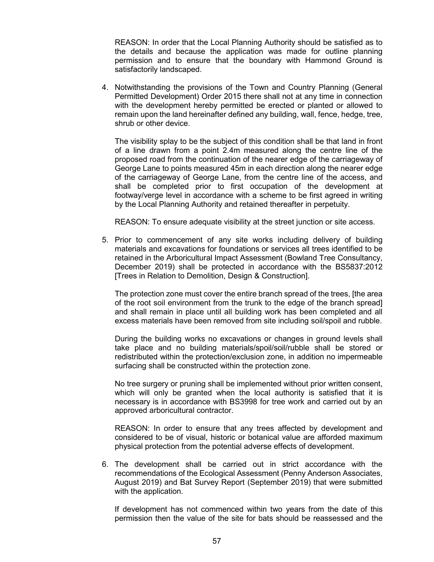REASON: In order that the Local Planning Authority should be satisfied as to the details and because the application was made for outline planning permission and to ensure that the boundary with Hammond Ground is satisfactorily landscaped.

4. Notwithstanding the provisions of the Town and Country Planning (General Permitted Development) Order 2015 there shall not at any time in connection with the development hereby permitted be erected or planted or allowed to remain upon the land hereinafter defined any building, wall, fence, hedge, tree, shrub or other device.

The visibility splay to be the subject of this condition shall be that land in front of a line drawn from a point 2.4m measured along the centre line of the proposed road from the continuation of the nearer edge of the carriageway of George Lane to points measured 45m in each direction along the nearer edge of the carriageway of George Lane, from the centre line of the access, and shall be completed prior to first occupation of the development at footway/verge level in accordance with a scheme to be first agreed in writing by the Local Planning Authority and retained thereafter in perpetuity.

REASON: To ensure adequate visibility at the street junction or site access.

5. Prior to commencement of any site works including delivery of building materials and excavations for foundations or services all trees identified to be retained in the Arboricultural Impact Assessment (Bowland Tree Consultancy, December 2019) shall be protected in accordance with the BS5837:2012 [Trees in Relation to Demolition, Design & Construction].

The protection zone must cover the entire branch spread of the trees, [the area of the root soil environment from the trunk to the edge of the branch spread] and shall remain in place until all building work has been completed and all excess materials have been removed from site including soil/spoil and rubble.

During the building works no excavations or changes in ground levels shall take place and no building materials/spoil/soil/rubble shall be stored or redistributed within the protection/exclusion zone, in addition no impermeable surfacing shall be constructed within the protection zone.

No tree surgery or pruning shall be implemented without prior written consent, which will only be granted when the local authority is satisfied that it is necessary is in accordance with BS3998 for tree work and carried out by an approved arboricultural contractor.

REASON: In order to ensure that any trees affected by development and considered to be of visual, historic or botanical value are afforded maximum physical protection from the potential adverse effects of development.

6. The development shall be carried out in strict accordance with the recommendations of the Ecological Assessment (Penny Anderson Associates, August 2019) and Bat Survey Report (September 2019) that were submitted with the application.

If development has not commenced within two years from the date of this permission then the value of the site for bats should be reassessed and the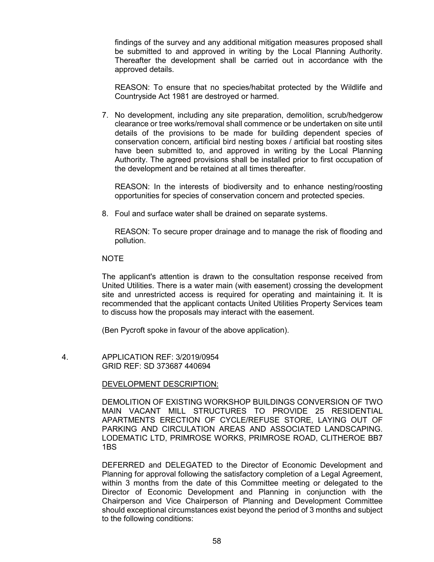findings of the survey and any additional mitigation measures proposed shall be submitted to and approved in writing by the Local Planning Authority. Thereafter the development shall be carried out in accordance with the approved details.

REASON: To ensure that no species/habitat protected by the Wildlife and Countryside Act 1981 are destroyed or harmed.

7. No development, including any site preparation, demolition, scrub/hedgerow clearance or tree works/removal shall commence or be undertaken on site until details of the provisions to be made for building dependent species of conservation concern, artificial bird nesting boxes / artificial bat roosting sites have been submitted to, and approved in writing by the Local Planning Authority. The agreed provisions shall be installed prior to first occupation of the development and be retained at all times thereafter.

REASON: In the interests of biodiversity and to enhance nesting/roosting opportunities for species of conservation concern and protected species.

8. Foul and surface water shall be drained on separate systems.

REASON: To secure proper drainage and to manage the risk of flooding and pollution.

## **NOTE**

The applicant's attention is drawn to the consultation response received from United Utilities. There is a water main (with easement) crossing the development site and unrestricted access is required for operating and maintaining it. It is recommended that the applicant contacts United Utilities Property Services team to discuss how the proposals may interact with the easement.

(Ben Pycroft spoke in favour of the above application).

 4. APPLICATION REF: 3/2019/0954 GRID REF: SD 373687 440694

#### DEVELOPMENT DESCRIPTION:

DEMOLITION OF EXISTING WORKSHOP BUILDINGS CONVERSION OF TWO MAIN VACANT MILL STRUCTURES TO PROVIDE 25 RESIDENTIAL APARTMENTS ERECTION OF CYCLE/REFUSE STORE, LAYING OUT OF PARKING AND CIRCULATION AREAS AND ASSOCIATED LANDSCAPING. LODEMATIC LTD, PRIMROSE WORKS, PRIMROSE ROAD, CLITHEROE BB7 1BS

DEFERRED and DELEGATED to the Director of Economic Development and Planning for approval following the satisfactory completion of a Legal Agreement, within 3 months from the date of this Committee meeting or delegated to the Director of Economic Development and Planning in conjunction with the Chairperson and Vice Chairperson of Planning and Development Committee should exceptional circumstances exist beyond the period of 3 months and subject to the following conditions: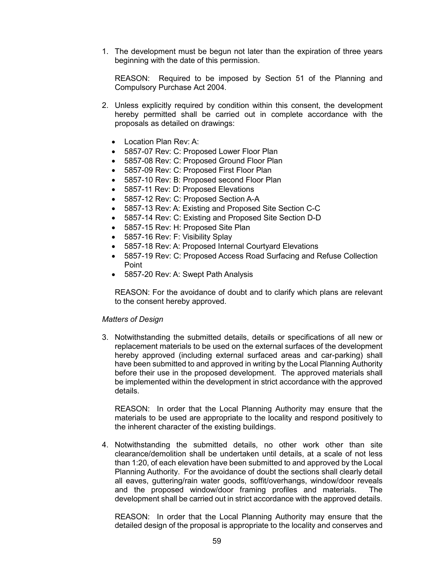1. The development must be begun not later than the expiration of three years beginning with the date of this permission.

REASON: Required to be imposed by Section 51 of the Planning and Compulsory Purchase Act 2004.

- 2. Unless explicitly required by condition within this consent, the development hereby permitted shall be carried out in complete accordance with the proposals as detailed on drawings:
	- Location Plan Rev: A:
	- 5857-07 Rev: C: Proposed Lower Floor Plan
	- 5857-08 Rev: C: Proposed Ground Floor Plan
	- 5857-09 Rev: C: Proposed First Floor Plan
	- 5857-10 Rev: B: Proposed second Floor Plan
	- 5857-11 Rev: D: Proposed Elevations
	- 5857-12 Rev: C: Proposed Section A-A
	- 5857-13 Rev: A: Existing and Proposed Site Section C-C
	- 5857-14 Rev: C: Existing and Proposed Site Section D-D
	- 5857-15 Rev: H: Proposed Site Plan
	- 5857-16 Rev: F: Visibility Splay
	- 5857-18 Rev: A: Proposed Internal Courtyard Elevations
	- 5857-19 Rev: C: Proposed Access Road Surfacing and Refuse Collection Point
	- 5857-20 Rev: A: Swept Path Analysis

REASON: For the avoidance of doubt and to clarify which plans are relevant to the consent hereby approved.

#### *Matters of Design*

3. Notwithstanding the submitted details, details or specifications of all new or replacement materials to be used on the external surfaces of the development hereby approved (including external surfaced areas and car-parking) shall have been submitted to and approved in writing by the Local Planning Authority before their use in the proposed development. The approved materials shall be implemented within the development in strict accordance with the approved details.

REASON: In order that the Local Planning Authority may ensure that the materials to be used are appropriate to the locality and respond positively to the inherent character of the existing buildings.

4. Notwithstanding the submitted details, no other work other than site clearance/demolition shall be undertaken until details, at a scale of not less than 1:20, of each elevation have been submitted to and approved by the Local Planning Authority. For the avoidance of doubt the sections shall clearly detail all eaves, guttering/rain water goods, soffit/overhangs, window/door reveals and the proposed window/door framing profiles and materials. The development shall be carried out in strict accordance with the approved details.

REASON: In order that the Local Planning Authority may ensure that the detailed design of the proposal is appropriate to the locality and conserves and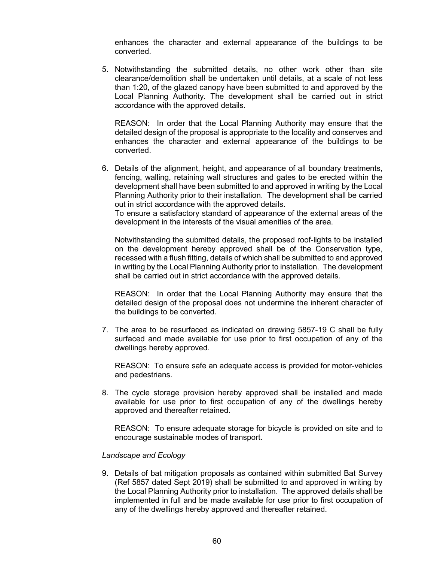enhances the character and external appearance of the buildings to be converted.

5. Notwithstanding the submitted details, no other work other than site clearance/demolition shall be undertaken until details, at a scale of not less than 1:20, of the glazed canopy have been submitted to and approved by the Local Planning Authority. The development shall be carried out in strict accordance with the approved details.

REASON: In order that the Local Planning Authority may ensure that the detailed design of the proposal is appropriate to the locality and conserves and enhances the character and external appearance of the buildings to be converted.

6. Details of the alignment, height, and appearance of all boundary treatments, fencing, walling, retaining wall structures and gates to be erected within the development shall have been submitted to and approved in writing by the Local Planning Authority prior to their installation. The development shall be carried out in strict accordance with the approved details.

To ensure a satisfactory standard of appearance of the external areas of the development in the interests of the visual amenities of the area.

Notwithstanding the submitted details, the proposed roof-lights to be installed on the development hereby approved shall be of the Conservation type, recessed with a flush fitting, details of which shall be submitted to and approved in writing by the Local Planning Authority prior to installation. The development shall be carried out in strict accordance with the approved details.

REASON: In order that the Local Planning Authority may ensure that the detailed design of the proposal does not undermine the inherent character of the buildings to be converted.

7. The area to be resurfaced as indicated on drawing 5857-19 C shall be fully surfaced and made available for use prior to first occupation of any of the dwellings hereby approved.

REASON: To ensure safe an adequate access is provided for motor-vehicles and pedestrians.

8. The cycle storage provision hereby approved shall be installed and made available for use prior to first occupation of any of the dwellings hereby approved and thereafter retained.

REASON: To ensure adequate storage for bicycle is provided on site and to encourage sustainable modes of transport.

#### *Landscape and Ecology*

9. Details of bat mitigation proposals as contained within submitted Bat Survey (Ref 5857 dated Sept 2019) shall be submitted to and approved in writing by the Local Planning Authority prior to installation. The approved details shall be implemented in full and be made available for use prior to first occupation of any of the dwellings hereby approved and thereafter retained.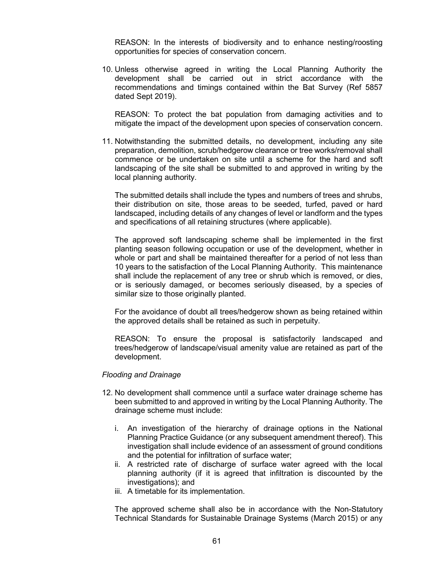REASON: In the interests of biodiversity and to enhance nesting/roosting opportunities for species of conservation concern.

10. Unless otherwise agreed in writing the Local Planning Authority the development shall be carried out in strict accordance with the recommendations and timings contained within the Bat Survey (Ref 5857 dated Sept 2019).

REASON: To protect the bat population from damaging activities and to mitigate the impact of the development upon species of conservation concern.

11. Notwithstanding the submitted details, no development, including any site preparation, demolition, scrub/hedgerow clearance or tree works/removal shall commence or be undertaken on site until a scheme for the hard and soft landscaping of the site shall be submitted to and approved in writing by the local planning authority.

The submitted details shall include the types and numbers of trees and shrubs, their distribution on site, those areas to be seeded, turfed, paved or hard landscaped, including details of any changes of level or landform and the types and specifications of all retaining structures (where applicable).

The approved soft landscaping scheme shall be implemented in the first planting season following occupation or use of the development, whether in whole or part and shall be maintained thereafter for a period of not less than 10 years to the satisfaction of the Local Planning Authority. This maintenance shall include the replacement of any tree or shrub which is removed, or dies, or is seriously damaged, or becomes seriously diseased, by a species of similar size to those originally planted.

For the avoidance of doubt all trees/hedgerow shown as being retained within the approved details shall be retained as such in perpetuity.

REASON: To ensure the proposal is satisfactorily landscaped and trees/hedgerow of landscape/visual amenity value are retained as part of the development.

#### *Flooding and Drainage*

- 12. No development shall commence until a surface water drainage scheme has been submitted to and approved in writing by the Local Planning Authority. The drainage scheme must include:
	- i. An investigation of the hierarchy of drainage options in the National Planning Practice Guidance (or any subsequent amendment thereof). This investigation shall include evidence of an assessment of ground conditions and the potential for infiltration of surface water;
	- ii. A restricted rate of discharge of surface water agreed with the local planning authority (if it is agreed that infiltration is discounted by the investigations); and
	- iii. A timetable for its implementation.

The approved scheme shall also be in accordance with the Non-Statutory Technical Standards for Sustainable Drainage Systems (March 2015) or any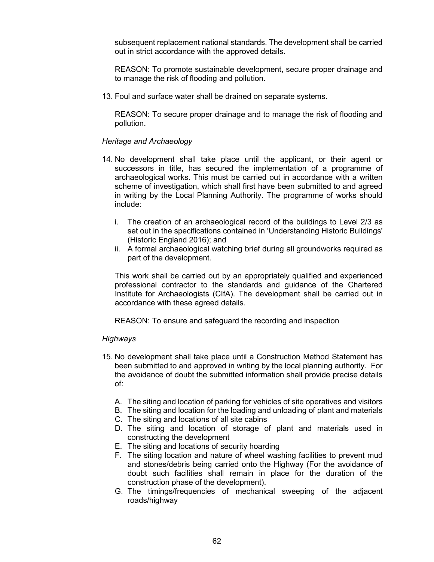subsequent replacement national standards. The development shall be carried out in strict accordance with the approved details.

REASON: To promote sustainable development, secure proper drainage and to manage the risk of flooding and pollution.

13. Foul and surface water shall be drained on separate systems.

REASON: To secure proper drainage and to manage the risk of flooding and pollution.

#### *Heritage and Archaeology*

- 14. No development shall take place until the applicant, or their agent or successors in title, has secured the implementation of a programme of archaeological works. This must be carried out in accordance with a written scheme of investigation, which shall first have been submitted to and agreed in writing by the Local Planning Authority. The programme of works should include:
	- i. The creation of an archaeological record of the buildings to Level 2/3 as set out in the specifications contained in 'Understanding Historic Buildings' (Historic England 2016); and
	- ii. A formal archaeological watching brief during all groundworks required as part of the development.

This work shall be carried out by an appropriately qualified and experienced professional contractor to the standards and guidance of the Chartered Institute for Archaeologists (CIfA). The development shall be carried out in accordance with these agreed details.

REASON: To ensure and safeguard the recording and inspection

## *Highways*

- 15. No development shall take place until a Construction Method Statement has been submitted to and approved in writing by the local planning authority. For the avoidance of doubt the submitted information shall provide precise details of:
	- A. The siting and location of parking for vehicles of site operatives and visitors
	- B. The siting and location for the loading and unloading of plant and materials
	- C. The siting and locations of all site cabins
	- D. The siting and location of storage of plant and materials used in constructing the development
	- E. The siting and locations of security hoarding
	- F. The siting location and nature of wheel washing facilities to prevent mud and stones/debris being carried onto the Highway (For the avoidance of doubt such facilities shall remain in place for the duration of the construction phase of the development).
	- G. The timings/frequencies of mechanical sweeping of the adjacent roads/highway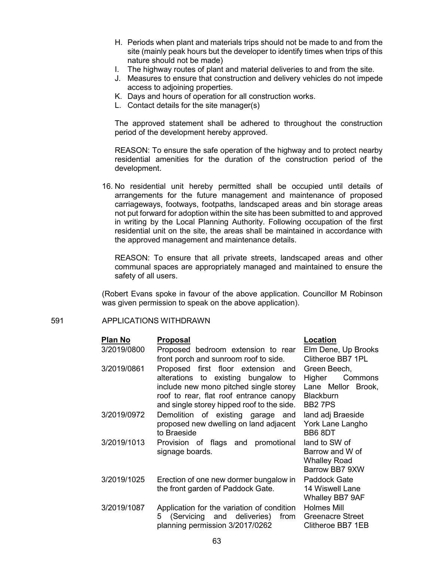- H. Periods when plant and materials trips should not be made to and from the site (mainly peak hours but the developer to identify times when trips of this nature should not be made)
- I. The highway routes of plant and material deliveries to and from the site.
- J. Measures to ensure that construction and delivery vehicles do not impede access to adjoining properties.
- K. Days and hours of operation for all construction works.
- L. Contact details for the site manager(s)

The approved statement shall be adhered to throughout the construction period of the development hereby approved.

REASON: To ensure the safe operation of the highway and to protect nearby residential amenities for the duration of the construction period of the development.

16. No residential unit hereby permitted shall be occupied until details of arrangements for the future management and maintenance of proposed carriageways, footways, footpaths, landscaped areas and bin storage areas not put forward for adoption within the site has been submitted to and approved in writing by the Local Planning Authority. Following occupation of the first residential unit on the site, the areas shall be maintained in accordance with the approved management and maintenance details.

REASON: To ensure that all private streets, landscaped areas and other communal spaces are appropriately managed and maintained to ensure the safety of all users.

(Robert Evans spoke in favour of the above application. Councillor M Robinson was given permission to speak on the above application).

#### 591 APPLICATIONS WITHDRAWN

| Plan No     | <b>Proposal</b>                                                                                                                                                                                              | Location                                                                                           |  |  |
|-------------|--------------------------------------------------------------------------------------------------------------------------------------------------------------------------------------------------------------|----------------------------------------------------------------------------------------------------|--|--|
| 3/2019/0800 | Proposed bedroom extension to rear<br>front porch and sunroom roof to side.                                                                                                                                  | Elm Dene, Up Brooks<br>Clitheroe BB7 1PL                                                           |  |  |
| 3/2019/0861 | Proposed first floor extension and<br>alterations to existing bungalow to<br>include new mono pitched single storey<br>roof to rear, flat roof entrance canopy<br>and single storey hipped roof to the side. | Green Beech,<br>Higher<br>Commons<br>Lane Mellor Brook,<br><b>Blackburn</b><br>BB <sub>2</sub> 7PS |  |  |
| 3/2019/0972 | Demolition of existing garage and<br>proposed new dwelling on land adjacent<br>to Braeside                                                                                                                   | land adj Braeside<br>York Lane Langho<br>BB6 8DT                                                   |  |  |
| 3/2019/1013 | Provision of flags<br>promotional<br>and<br>signage boards.                                                                                                                                                  | land to SW of<br>Barrow and W of<br><b>Whalley Road</b><br>Barrow BB7 9XW                          |  |  |
| 3/2019/1025 | Erection of one new dormer bungalow in<br>the front garden of Paddock Gate.                                                                                                                                  | Paddock Gate<br>14 Wiswell Lane<br><b>Whalley BB7 9AF</b>                                          |  |  |
| 3/2019/1087 | Application for the variation of condition<br>(Servicing and deliveries)<br>5<br>from<br>planning permission 3/2017/0262                                                                                     | <b>Holmes Mill</b><br><b>Greenacre Street</b><br>Clitheroe BB7 1EB                                 |  |  |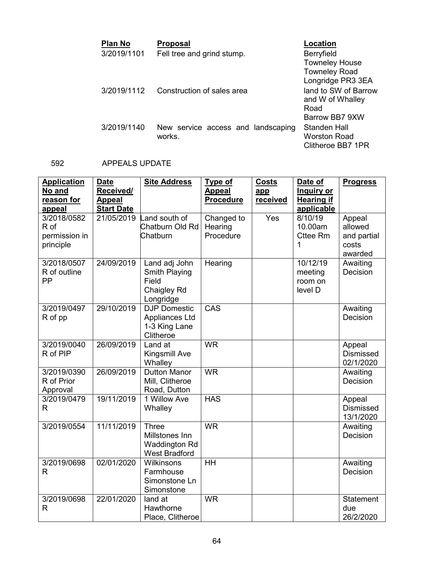| Plan No     | <b>Proposal</b>                    | Location              |
|-------------|------------------------------------|-----------------------|
| 3/2019/1101 | Fell tree and grind stump.         | Berryfield            |
|             |                                    | <b>Towneley House</b> |
|             |                                    | <b>Towneley Road</b>  |
|             |                                    | Longridge PR3 3EA     |
| 3/2019/1112 | Construction of sales area         | land to SW of Barrow  |
|             |                                    | and W of Whalley      |
|             |                                    | Road                  |
|             |                                    | Barrow BB7 9XW        |
| 3/2019/1140 | New service access and landscaping | Standen Hall          |
|             | works.                             | <b>Worston Road</b>   |
|             |                                    | Clitheroe BB7 1PR     |

## 592 APPEALS UPDATE

| <b>Application</b><br>No and<br>reason for<br>appeal | <b>Date</b><br>Received/<br><b>Appeal</b><br><b>Start Date</b> | <b>Site Address</b>                                                            | <b>Type of</b><br><b>Appeal</b><br><b>Procedure</b> | <b>Costs</b><br>app<br>received | Date of<br><b>Inquiry or</b><br><b>Hearing if</b><br>applicable | <b>Progress</b>                                      |
|------------------------------------------------------|----------------------------------------------------------------|--------------------------------------------------------------------------------|-----------------------------------------------------|---------------------------------|-----------------------------------------------------------------|------------------------------------------------------|
| 3/2018/0582<br>R of<br>permission in<br>principle    | 21/05/2019                                                     | Land south of<br>Chatburn Old Rd<br>Chatburn                                   | Changed to<br>Hearing<br>Procedure                  | Yes                             | 8/10/19<br>10.00am<br><b>Cttee Rm</b><br>1                      | Appeal<br>allowed<br>and partial<br>costs<br>awarded |
| 3/2018/0507<br>R of outline<br>PP                    | 24/09/2019                                                     | Land adj John<br>Smith Playing<br>Field<br>Chaigley Rd<br>Longridge            | Hearing                                             |                                 | 10/12/19<br>meeting<br>room on<br>level D                       | Awaiting<br>Decision                                 |
| 3/2019/0497<br>R of pp                               | 29/10/2019                                                     | <b>DJP</b> Domestic<br>Appliances Ltd<br>1-3 King Lane<br>Clitheroe            | CAS                                                 |                                 |                                                                 | Awaiting<br>Decision                                 |
| 3/2019/0040<br>R of PIP                              | 26/09/2019                                                     | Land at<br>Kingsmill Ave<br>Whalley                                            | <b>WR</b>                                           |                                 |                                                                 | Appeal<br><b>Dismissed</b><br>02/1/2020              |
| 3/2019/0390<br>R of Prior<br>Approval                | 26/09/2019                                                     | <b>Dutton Manor</b><br>Mill, Clitheroe<br>Road, Dutton                         | <b>WR</b>                                           |                                 |                                                                 | Awaiting<br>Decision                                 |
| 3/2019/0479<br>R                                     | 19/11/2019                                                     | 1 Willow Ave<br>Whalley                                                        | <b>HAS</b>                                          |                                 |                                                                 | Appeal<br><b>Dismissed</b><br>13/1/2020              |
| 3/2019/0554                                          | 11/11/2019                                                     | <b>Three</b><br>Millstones Inn<br><b>Waddington Rd</b><br><b>West Bradford</b> | <b>WR</b>                                           |                                 |                                                                 | Awaiting<br>Decision                                 |
| 3/2019/0698<br>R                                     | 02/01/2020                                                     | Wilkinsons<br>Farmhouse<br>Simonstone Ln<br>Simonstone                         | HH                                                  |                                 |                                                                 | Awaiting<br>Decision                                 |
| 3/2019/0698<br>R                                     | 22/01/2020                                                     | land at<br>Hawthorne<br>Place, Clitheroe                                       | <b>WR</b>                                           |                                 |                                                                 | Statement<br>due<br>26/2/2020                        |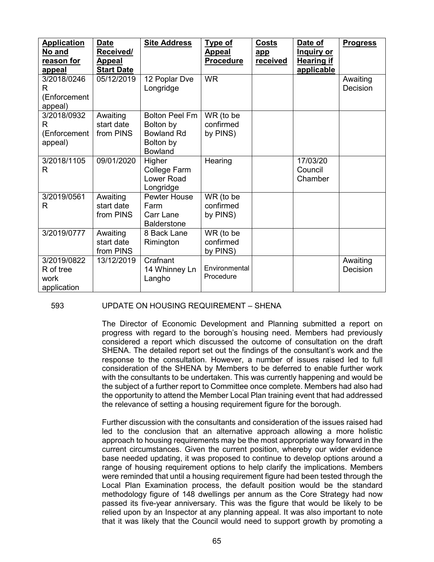| <b>Application</b><br>No and<br>reason for<br>appeal | <b>Date</b><br>Received/<br><u>Appeal</u><br><b>Start Date</b> | <b>Site Address</b>                                                             | <b>Type of</b><br><b>Appeal</b><br><b>Procedure</b> | <b>Costs</b><br>app<br><b>received</b> | Date of<br><u>Inquiry or</u><br><b>Hearing if</b><br>applicable | <b>Progress</b>      |
|------------------------------------------------------|----------------------------------------------------------------|---------------------------------------------------------------------------------|-----------------------------------------------------|----------------------------------------|-----------------------------------------------------------------|----------------------|
| 3/2018/0246<br>R.<br>(Enforcement<br>appeal)         | 05/12/2019                                                     | 12 Poplar Dve<br>Longridge                                                      | <b>WR</b>                                           |                                        |                                                                 | Awaiting<br>Decision |
| 3/2018/0932<br>R.<br>(Enforcement<br>appeal)         | Awaiting<br>start date<br>from PINS                            | <b>Bolton Peel Fm</b><br>Bolton by<br><b>Bowland Rd</b><br>Bolton by<br>Bowland | WR (to be<br>confirmed<br>by PINS)                  |                                        |                                                                 |                      |
| 3/2018/1105<br>R                                     | 09/01/2020                                                     | Higher<br>College Farm<br>Lower Road<br>Longridge                               | Hearing                                             |                                        | 17/03/20<br>Council<br>Chamber                                  |                      |
| 3/2019/0561<br>R                                     | Awaiting<br>start date<br>from PINS                            | Pewter House<br>Farm<br>Carr Lane<br><b>Balderstone</b>                         | WR (to be<br>confirmed<br>by PINS)                  |                                        |                                                                 |                      |
| 3/2019/0777                                          | Awaiting<br>start date<br>from PINS                            | 8 Back Lane<br>Rimington                                                        | WR (to be<br>confirmed<br>by PINS)                  |                                        |                                                                 |                      |
| 3/2019/0822<br>R of tree<br>work<br>application      | 13/12/2019                                                     | Crafnant<br>14 Whinney Ln<br>Langho                                             | Environmental<br>Procedure                          |                                        |                                                                 | Awaiting<br>Decision |

#### 593 UPDATE ON HOUSING REQUIREMENT – SHENA

The Director of Economic Development and Planning submitted a report on progress with regard to the borough's housing need. Members had previously considered a report which discussed the outcome of consultation on the draft SHENA. The detailed report set out the findings of the consultant's work and the response to the consultation. However, a number of issues raised led to full consideration of the SHENA by Members to be deferred to enable further work with the consultants to be undertaken. This was currently happening and would be the subject of a further report to Committee once complete. Members had also had the opportunity to attend the Member Local Plan training event that had addressed the relevance of setting a housing requirement figure for the borough.

Further discussion with the consultants and consideration of the issues raised had led to the conclusion that an alternative approach allowing a more holistic approach to housing requirements may be the most appropriate way forward in the current circumstances. Given the current position, whereby our wider evidence base needed updating, it was proposed to continue to develop options around a range of housing requirement options to help clarify the implications. Members were reminded that until a housing requirement figure had been tested through the Local Plan Examination process, the default position would be the standard methodology figure of 148 dwellings per annum as the Core Strategy had now passed its five-year anniversary. This was the figure that would be likely to be relied upon by an Inspector at any planning appeal. It was also important to note that it was likely that the Council would need to support growth by promoting a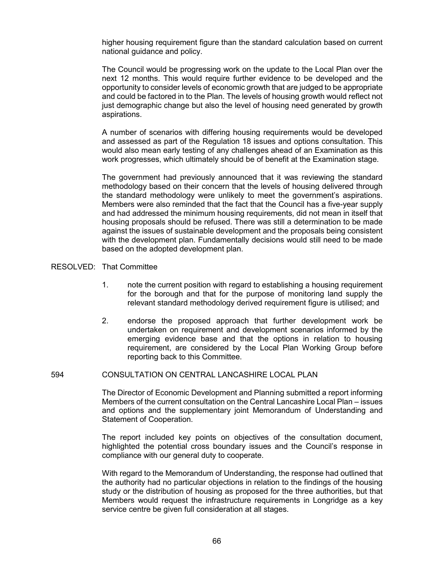higher housing requirement figure than the standard calculation based on current national guidance and policy.

The Council would be progressing work on the update to the Local Plan over the next 12 months. This would require further evidence to be developed and the opportunity to consider levels of economic growth that are judged to be appropriate and could be factored in to the Plan. The levels of housing growth would reflect not just demographic change but also the level of housing need generated by growth aspirations.

A number of scenarios with differing housing requirements would be developed and assessed as part of the Regulation 18 issues and options consultation. This would also mean early testing of any challenges ahead of an Examination as this work progresses, which ultimately should be of benefit at the Examination stage.

The government had previously announced that it was reviewing the standard methodology based on their concern that the levels of housing delivered through the standard methodology were unlikely to meet the government's aspirations. Members were also reminded that the fact that the Council has a five-year supply and had addressed the minimum housing requirements, did not mean in itself that housing proposals should be refused. There was still a determination to be made against the issues of sustainable development and the proposals being consistent with the development plan. Fundamentally decisions would still need to be made based on the adopted development plan.

#### RESOLVED: That Committee

- 1. note the current position with regard to establishing a housing requirement for the borough and that for the purpose of monitoring land supply the relevant standard methodology derived requirement figure is utilised; and
- 2. endorse the proposed approach that further development work be undertaken on requirement and development scenarios informed by the emerging evidence base and that the options in relation to housing requirement, are considered by the Local Plan Working Group before reporting back to this Committee.

#### 594 CONSULTATION ON CENTRAL LANCASHIRE LOCAL PLAN

The Director of Economic Development and Planning submitted a report informing Members of the current consultation on the Central Lancashire Local Plan – issues and options and the supplementary joint Memorandum of Understanding and Statement of Cooperation.

The report included key points on objectives of the consultation document, highlighted the potential cross boundary issues and the Council's response in compliance with our general duty to cooperate.

With regard to the Memorandum of Understanding, the response had outlined that the authority had no particular objections in relation to the findings of the housing study or the distribution of housing as proposed for the three authorities, but that Members would request the infrastructure requirements in Longridge as a key service centre be given full consideration at all stages.